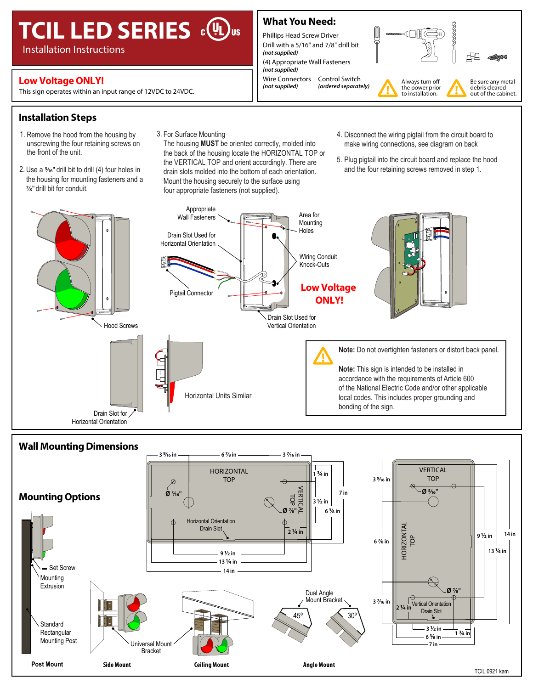# **TCIL LED SERIES**  $\circ \mathbb{Q}_{\text{us}}$

Installation Instructions

## **Low Voltage ONLY!**<br>
Fig. (not supplied) (ordered separately) and the Connectors Control Switch (not supplied) (ordered separately)

This sign operates within an input range of 12VDC to 24VDC.

### **What You Need:**

Phillips Head Screw Driver Drill with a 5/16" and 7/8" drill bit *(not supplied)* (4) Appropriate Wall Fasteners

*(not supplied)* Wire Connectors *(not supplied)* Control Switch



**Installation Steps**

- 1. Remove the hood from the housing by unscrewing the four retaining screws on the front of the unit.
- 2. Use a %" drill bit to drill (4) four holes in the housing for mounting fasteners and a 7⁄8" drill bit for conduit.
- 3. For Surface Mounting

The housing **MUST** be oriented correctly, molded into the back of the housing locate the HORIZONTAL TOP or the VERTICAL TOP and orient accordingly. There are drain slots molded into the bottom of each orientation. Mount the housing securely to the surface using four appropriate fasteners (not supplied).

- 4. Disconnect the wiring pigtail from the circuit board to make wiring connections, see diagram on back
- 5. Plug pigtail into the circuit board and replace the hood and the four retaining screws removed in step 1.